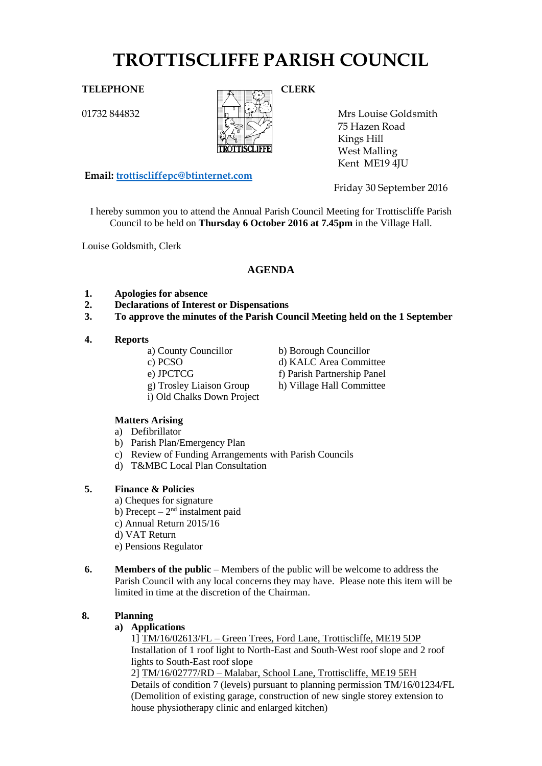# **TROTTISCLIFFE PARISH COUNCIL**

01732 844832



Mrs Louise Goldsmith 75 Hazen Road Kings Hill West Malling Kent ME19 4JU

**Email: [trottiscliffepc@btinternet.com](mailto:trottiscliffepc@btinternet.com)**

Friday 30 September 2016

I hereby summon you to attend the Annual Parish Council Meeting for Trottiscliffe Parish Council to be held on **Thursday 6 October 2016 at 7.45pm** in the Village Hall.

Louise Goldsmith, Clerk

# **AGENDA**

- **1. Apologies for absence**
- **2. Declarations of Interest or Dispensations**
- **3. To approve the minutes of the Parish Council Meeting held on the 1 September**

#### **4. Reports**

- a) County Councillor b) Borough Councillor
- 
- 
- 
- i) Old Chalks Down Project
- c) PCSO d) KALC Area Committee
- e) JPCTCG f) Parish Partnership Panel
- g) Trosley Liaison Group h) Village Hall Committee
- 
- **Matters Arising**  a) Defibrillator
- b) Parish Plan/Emergency Plan
- c) Review of Funding Arrangements with Parish Councils
- d) T&MBC Local Plan Consultation

### **5. Finance & Policies**

- a) Cheques for signature
- b) Precept  $-2<sup>nd</sup>$  instalment paid
- c) Annual Return 2015/16
- d) VAT Return
- e) Pensions Regulator
- **6. Members of the public** Members of the public will be welcome to address the Parish Council with any local concerns they may have. Please note this item will be limited in time at the discretion of the Chairman.

# **8. Planning**

### **a) Applications**

1] TM/16/02613/FL – Green Trees, Ford Lane, Trottiscliffe, ME19 5DP Installation of 1 roof light to North-East and South-West roof slope and 2 roof lights to South-East roof slope

2] TM/16/02777/RD – Malabar, School Lane, Trottiscliffe, ME19 5EH Details of condition 7 (levels) pursuant to planning permission TM/16/01234/FL (Demolition of existing garage, construction of new single storey extension to house physiotherapy clinic and enlarged kitchen)